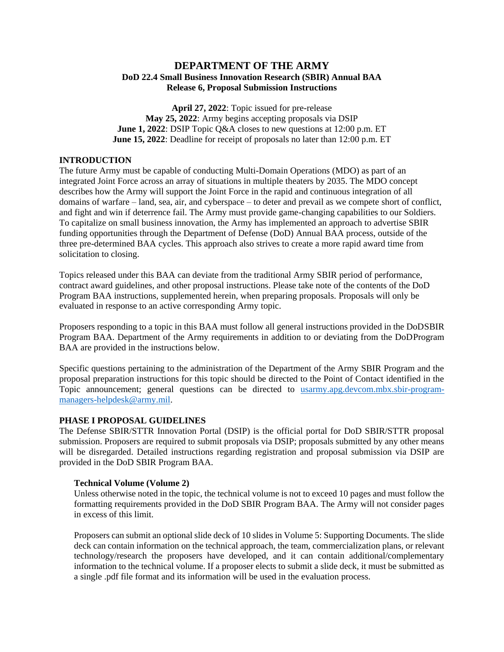## **DEPARTMENT OF THE ARMY DoD 22.4 Small Business Innovation Research (SBIR) Annual BAA Release 6, Proposal Submission Instructions**

**April 27, 2022**: Topic issued for pre-release **May 25, 2022**: Army begins accepting proposals via DSIP **June 1, 2022**: DSIP Topic Q&A closes to new questions at 12:00 p.m. ET **June 15, 2022**: Deadline for receipt of proposals no later than 12:00 p.m. ET

#### **INTRODUCTION**

The future Army must be capable of conducting Multi-Domain Operations (MDO) as part of an integrated Joint Force across an array of situations in multiple theaters by 2035. The MDO concept describes how the Army will support the Joint Force in the rapid and continuous integration of all domains of warfare – land, sea, air, and cyberspace – to deter and prevail as we compete short of conflict, and fight and win if deterrence fail. The Army must provide game-changing capabilities to our Soldiers. To capitalize on small business innovation, the Army has implemented an approach to advertise SBIR funding opportunities through the Department of Defense (DoD) Annual BAA process, outside of the three pre-determined BAA cycles. This approach also strives to create a more rapid award time from solicitation to closing.

Topics released under this BAA can deviate from the traditional Army SBIR period of performance, contract award guidelines, and other proposal instructions. Please take note of the contents of the DoD Program BAA instructions, supplemented herein, when preparing proposals. Proposals will only be evaluated in response to an active corresponding Army topic.

Proposers responding to a topic in this BAA must follow all general instructions provided in the DoDSBIR Program BAA. Department of the Army requirements in addition to or deviating from the DoDProgram BAA are provided in the instructions below.

Specific questions pertaining to the administration of the Department of the Army SBIR Program and the proposal preparation instructions for this topic should be directed to the Point of Contact identified in the Topic announcement; general questions can be directed to [usarmy.apg.devcom.mbx.sbir-program](mailto:usarmy.apg.devcom.mbx.sbir-program-managers-helpdesk@army.mil)[managers-helpdesk@army.mil.](mailto:usarmy.apg.devcom.mbx.sbir-program-managers-helpdesk@army.mil)

#### **PHASE I PROPOSAL GUIDELINES**

The Defense SBIR/STTR Innovation Portal (DSIP) is the official portal for DoD SBIR/STTR proposal submission. Proposers are required to submit proposals via DSIP; proposals submitted by any other means will be disregarded. Detailed instructions regarding registration and proposal submission via DSIP are provided in the DoD SBIR Program BAA.

#### **Technical Volume (Volume 2)**

Unless otherwise noted in the topic, the technical volume is not to exceed 10 pages and must follow the formatting requirements provided in the DoD SBIR Program BAA. The Army will not consider pages in excess of this limit.

Proposers can submit an optional slide deck of 10 slides in Volume 5: Supporting Documents. The slide deck can contain information on the technical approach, the team, commercialization plans, or relevant technology/research the proposers have developed, and it can contain additional/complementary information to the technical volume. If a proposer elects to submit a slide deck, it must be submitted as a single .pdf file format and its information will be used in the evaluation process.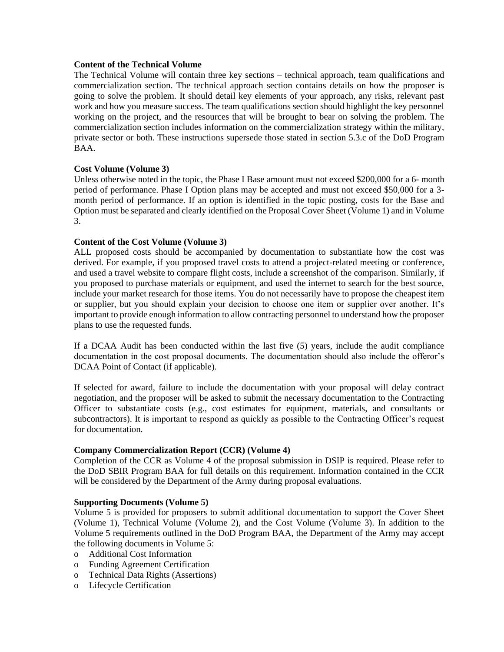#### **Content of the Technical Volume**

The Technical Volume will contain three key sections – technical approach, team qualifications and commercialization section. The technical approach section contains details on how the proposer is going to solve the problem. It should detail key elements of your approach, any risks, relevant past work and how you measure success. The team qualifications section should highlight the key personnel working on the project, and the resources that will be brought to bear on solving the problem. The commercialization section includes information on the commercialization strategy within the military, private sector or both. These instructions supersede those stated in section 5.3.c of the DoD Program BAA.

## **Cost Volume (Volume 3)**

Unless otherwise noted in the topic, the Phase I Base amount must not exceed \$200,000 for a 6- month period of performance. Phase I Option plans may be accepted and must not exceed \$50,000 for a 3 month period of performance. If an option is identified in the topic posting, costs for the Base and Option must be separated and clearly identified on the Proposal Cover Sheet (Volume 1) and in Volume 3.

## **Content of the Cost Volume (Volume 3)**

ALL proposed costs should be accompanied by documentation to substantiate how the cost was derived. For example, if you proposed travel costs to attend a project-related meeting or conference, and used a travel website to compare flight costs, include a screenshot of the comparison. Similarly, if you proposed to purchase materials or equipment, and used the internet to search for the best source, include your market research for those items. You do not necessarily have to propose the cheapest item or supplier, but you should explain your decision to choose one item or supplier over another. It's important to provide enough information to allow contracting personnel to understand how the proposer plans to use the requested funds.

If a DCAA Audit has been conducted within the last five (5) years, include the audit compliance documentation in the cost proposal documents. The documentation should also include the offeror's DCAA Point of Contact (if applicable).

If selected for award, failure to include the documentation with your proposal will delay contract negotiation, and the proposer will be asked to submit the necessary documentation to the Contracting Officer to substantiate costs (e.g., cost estimates for equipment, materials, and consultants or subcontractors). It is important to respond as quickly as possible to the Contracting Officer's request for documentation.

## **Company Commercialization Report (CCR) (Volume 4)**

Completion of the CCR as Volume 4 of the proposal submission in DSIP is required. Please refer to the DoD SBIR Program BAA for full details on this requirement. Information contained in the CCR will be considered by the Department of the Army during proposal evaluations.

## **Supporting Documents (Volume 5)**

Volume 5 is provided for proposers to submit additional documentation to support the Cover Sheet (Volume 1), Technical Volume (Volume 2), and the Cost Volume (Volume 3). In addition to the Volume 5 requirements outlined in the DoD Program BAA, the Department of the Army may accept the following documents in Volume 5:

- o Additional Cost Information
- o Funding Agreement Certification
- o Technical Data Rights (Assertions)
- o Lifecycle Certification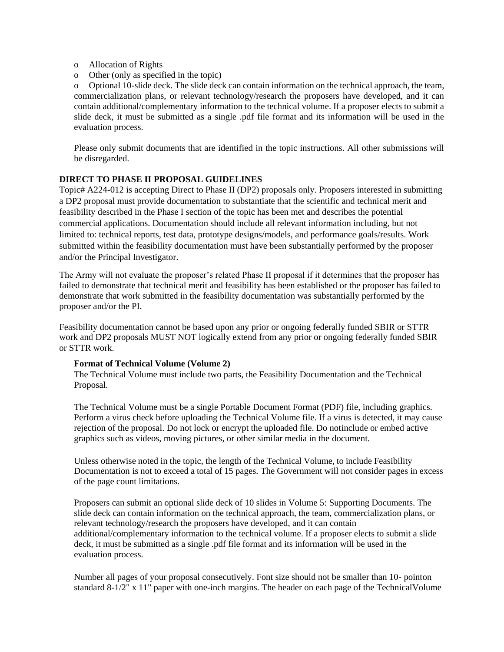- o Allocation of Rights
- o Other (only as specified in the topic)

o Optional 10-slide deck. The slide deck can contain information on the technical approach, the team, commercialization plans, or relevant technology/research the proposers have developed, and it can contain additional/complementary information to the technical volume. If a proposer elects to submit a slide deck, it must be submitted as a single .pdf file format and its information will be used in the evaluation process.

Please only submit documents that are identified in the topic instructions. All other submissions will be disregarded.

## **DIRECT TO PHASE II PROPOSAL GUIDELINES**

Topic# A224-012 is accepting Direct to Phase II (DP2) proposals only. Proposers interested in submitting a DP2 proposal must provide documentation to substantiate that the scientific and technical merit and feasibility described in the Phase I section of the topic has been met and describes the potential commercial applications. Documentation should include all relevant information including, but not limited to: technical reports, test data, prototype designs/models, and performance goals/results. Work submitted within the feasibility documentation must have been substantially performed by the proposer and/or the Principal Investigator.

The Army will not evaluate the proposer's related Phase II proposal if it determines that the proposer has failed to demonstrate that technical merit and feasibility has been established or the proposer has failed to demonstrate that work submitted in the feasibility documentation was substantially performed by the proposer and/or the PI.

Feasibility documentation cannot be based upon any prior or ongoing federally funded SBIR or STTR work and DP2 proposals MUST NOT logically extend from any prior or ongoing federally funded SBIR or STTR work.

## **Format of Technical Volume (Volume 2)**

The Technical Volume must include two parts, the Feasibility Documentation and the Technical Proposal.

The Technical Volume must be a single Portable Document Format (PDF) file, including graphics. Perform a virus check before uploading the Technical Volume file. If a virus is detected, it may cause rejection of the proposal. Do not lock or encrypt the uploaded file. Do notinclude or embed active graphics such as videos, moving pictures, or other similar media in the document.

Unless otherwise noted in the topic, the length of the Technical Volume, to include Feasibility Documentation is not to exceed a total of 15 pages. The Government will not consider pages in excess of the page count limitations.

Proposers can submit an optional slide deck of 10 slides in Volume 5: Supporting Documents. The slide deck can contain information on the technical approach, the team, commercialization plans, or relevant technology/research the proposers have developed, and it can contain additional/complementary information to the technical volume. If a proposer elects to submit a slide deck, it must be submitted as a single .pdf file format and its information will be used in the evaluation process.

Number all pages of your proposal consecutively. Font size should not be smaller than 10- pointon standard  $8-1/2$ " x 11" paper with one-inch margins. The header on each page of the Technical Volume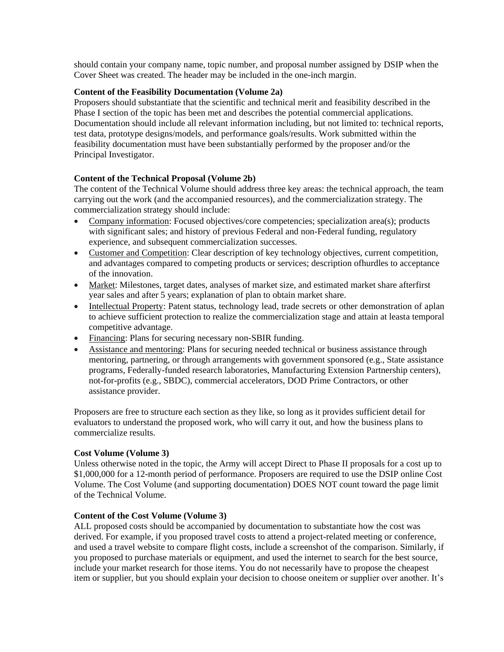should contain your company name, topic number, and proposal number assigned by DSIP when the Cover Sheet was created. The header may be included in the one-inch margin.

## **Content of the Feasibility Documentation (Volume 2a)**

Proposers should substantiate that the scientific and technical merit and feasibility described in the Phase I section of the topic has been met and describes the potential commercial applications. Documentation should include all relevant information including, but not limited to: technical reports, test data, prototype designs/models, and performance goals/results. Work submitted within the feasibility documentation must have been substantially performed by the proposer and/or the Principal Investigator.

#### **Content of the Technical Proposal (Volume 2b)**

The content of the Technical Volume should address three key areas: the technical approach, the team carrying out the work (and the accompanied resources), and the commercialization strategy. The commercialization strategy should include:

- Company information: Focused objectives/core competencies; specialization area(s); products with significant sales; and history of previous Federal and non-Federal funding, regulatory experience, and subsequent commercialization successes.
- Customer and Competition: Clear description of key technology objectives, current competition, and advantages compared to competing products or services; description ofhurdles to acceptance of the innovation.
- Market: Milestones, target dates, analyses of market size, and estimated market share afterfirst year sales and after 5 years; explanation of plan to obtain market share.
- Intellectual Property: Patent status, technology lead, trade secrets or other demonstration of aplan to achieve sufficient protection to realize the commercialization stage and attain at leasta temporal competitive advantage.
- Financing: Plans for securing necessary non-SBIR funding.
- Assistance and mentoring: Plans for securing needed technical or business assistance through mentoring, partnering, or through arrangements with government sponsored (e.g., State assistance programs, Federally-funded research laboratories, Manufacturing Extension Partnership centers), not-for-profits (e.g., SBDC), commercial accelerators, DOD Prime Contractors, or other assistance provider.

Proposers are free to structure each section as they like, so long as it provides sufficient detail for evaluators to understand the proposed work, who will carry it out, and how the business plans to commercialize results.

#### **Cost Volume (Volume 3)**

Unless otherwise noted in the topic, the Army will accept Direct to Phase II proposals for a cost up to \$1,000,000 for a 12-month period of performance. Proposers are required to use the DSIP online Cost Volume. The Cost Volume (and supporting documentation) DOES NOT count toward the page limit of the Technical Volume.

## **Content of the Cost Volume (Volume 3)**

ALL proposed costs should be accompanied by documentation to substantiate how the cost was derived. For example, if you proposed travel costs to attend a project-related meeting or conference, and used a travel website to compare flight costs, include a screenshot of the comparison. Similarly, if you proposed to purchase materials or equipment, and used the internet to search for the best source, include your market research for those items. You do not necessarily have to propose the cheapest item or supplier, but you should explain your decision to choose oneitem or supplier over another. It's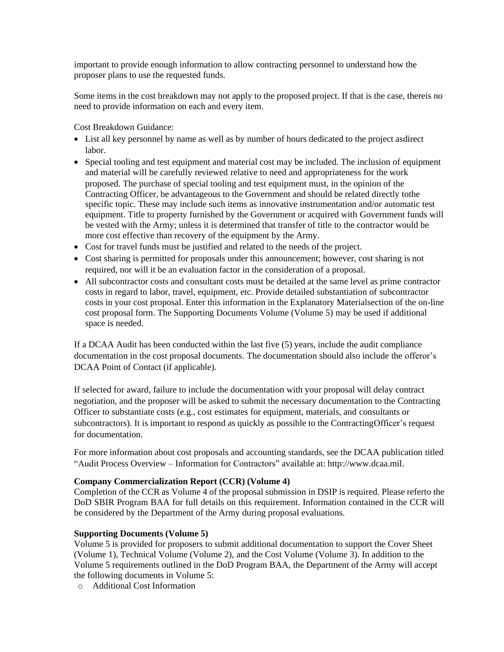important to provide enough information to allow contracting personnel to understand how the proposer plans to use the requested funds.

Some items in the cost breakdown may not apply to the proposed project. If that is the case, thereis no need to provide information on each and every item.

Cost Breakdown Guidance:

- List all key personnel by name as well as by number of hours dedicated to the project asdirect labor.
- Special tooling and test equipment and material cost may be included. The inclusion of equipment and material will be carefully reviewed relative to need and appropriateness for the work proposed. The purchase of special tooling and test equipment must, in the opinion of the Contracting Officer, be advantageous to the Government and should be related directly tothe specific topic. These may include such items as innovative instrumentation and/or automatic test equipment. Title to property furnished by the Government or acquired with Government funds will be vested with the Army; unless it is determined that transfer of title to the contractor would be more cost effective than recovery of the equipment by the Army.
- Cost for travel funds must be justified and related to the needs of the project.
- Cost sharing is permitted for proposals under this announcement; however, cost sharing is not required, nor will it be an evaluation factor in the consideration of a proposal.
- All subcontractor costs and consultant costs must be detailed at the same level as prime contractor costs in regard to labor, travel, equipment, etc. Provide detailed substantiation of subcontractor costs in your cost proposal. Enter this information in the Explanatory Materialsection of the on-line cost proposal form. The Supporting Documents Volume (Volume 5) may be used if additional space is needed.

If a DCAA Audit has been conducted within the last five (5) years, include the audit compliance documentation in the cost proposal documents. The documentation should also include the offeror's DCAA Point of Contact (if applicable).

If selected for award, failure to include the documentation with your proposal will delay contract negotiation, and the proposer will be asked to submit the necessary documentation to the Contracting Officer to substantiate costs (e.g., cost estimates for equipment, materials, and consultants or subcontractors). It is important to respond as quickly as possible to the ContractingOfficer's request for documentation.

For more information about cost proposals and accounting standards, see the DCAA publication titled "Audit Process Overview – Information for Contractors" available at: [http://www.dcaa.mil.](http://www.dcaa.mil/)

## **Company Commercialization Report (CCR) (Volume 4)**

Completion of the CCR as Volume 4 of the proposal submission in DSIP is required. Please referto the DoD SBIR Program BAA for full details on this requirement. Information contained in the CCR will be considered by the Department of the Army during proposal evaluations.

## **Supporting Documents (Volume 5)**

Volume 5 is provided for proposers to submit additional documentation to support the Cover Sheet (Volume 1), Technical Volume (Volume 2), and the Cost Volume (Volume 3). In addition to the Volume 5 requirements outlined in the DoD Program BAA, the Department of the Army will accept the following documents in Volume 5:

o Additional Cost Information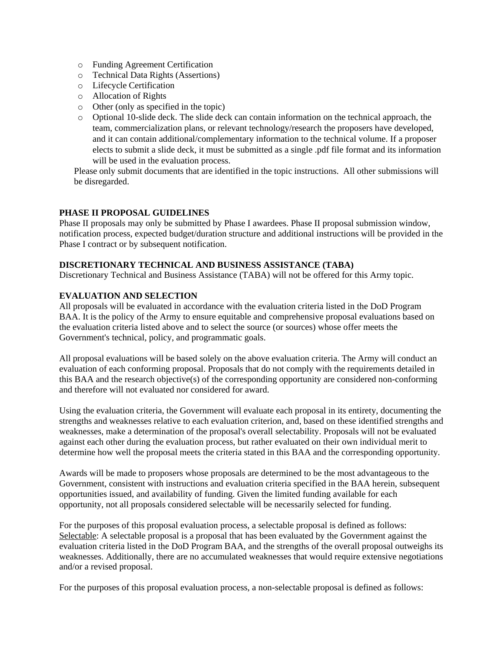- o Funding Agreement Certification
- o Technical Data Rights (Assertions)
- o Lifecycle Certification
- o Allocation of Rights
- o Other (only as specified in the topic)
- o Optional 10-slide deck. The slide deck can contain information on the technical approach, the team, commercialization plans, or relevant technology/research the proposers have developed, and it can contain additional/complementary information to the technical volume. If a proposer elects to submit a slide deck, it must be submitted as a single .pdf file format and its information will be used in the evaluation process.

Please only submit documents that are identified in the topic instructions. All other submissions will be disregarded.

## **PHASE II PROPOSAL GUIDELINES**

Phase II proposals may only be submitted by Phase I awardees. Phase II proposal submission window, notification process, expected budget/duration structure and additional instructions will be provided in the Phase I contract or by subsequent notification.

## **DISCRETIONARY TECHNICAL AND BUSINESS ASSISTANCE (TABA)**

Discretionary Technical and Business Assistance (TABA) will not be offered for this Army topic.

## **EVALUATION AND SELECTION**

All proposals will be evaluated in accordance with the evaluation criteria listed in the DoD Program BAA. It is the policy of the Army to ensure equitable and comprehensive proposal evaluations based on the evaluation criteria listed above and to select the source (or sources) whose offer meets the Government's technical, policy, and programmatic goals.

All proposal evaluations will be based solely on the above evaluation criteria. The Army will conduct an evaluation of each conforming proposal. Proposals that do not comply with the requirements detailed in this BAA and the research objective(s) of the corresponding opportunity are considered non-conforming and therefore will not evaluated nor considered for award.

Using the evaluation criteria, the Government will evaluate each proposal in its entirety, documenting the strengths and weaknesses relative to each evaluation criterion, and, based on these identified strengths and weaknesses, make a determination of the proposal's overall selectability. Proposals will not be evaluated against each other during the evaluation process, but rather evaluated on their own individual merit to determine how well the proposal meets the criteria stated in this BAA and the corresponding opportunity.

Awards will be made to proposers whose proposals are determined to be the most advantageous to the Government, consistent with instructions and evaluation criteria specified in the BAA herein, subsequent opportunities issued, and availability of funding. Given the limited funding available for each opportunity, not all proposals considered selectable will be necessarily selected for funding.

For the purposes of this proposal evaluation process, a selectable proposal is defined as follows: Selectable: A selectable proposal is a proposal that has been evaluated by the Government against the evaluation criteria listed in the DoD Program BAA, and the strengths of the overall proposal outweighs its weaknesses. Additionally, there are no accumulated weaknesses that would require extensive negotiations and/or a revised proposal.

For the purposes of this proposal evaluation process, a non-selectable proposal is defined as follows: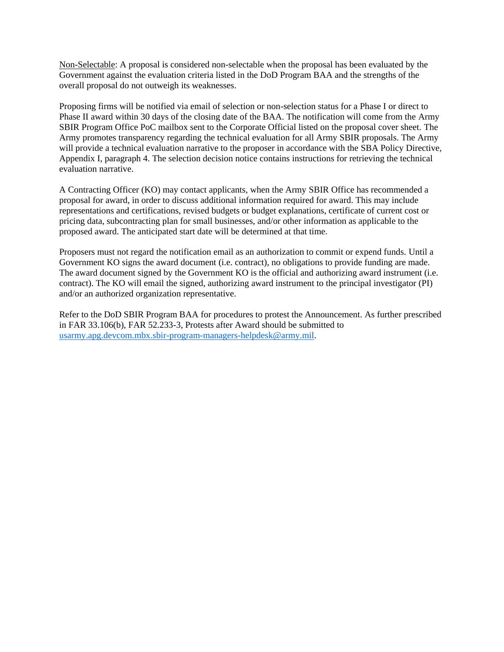Non-Selectable: A proposal is considered non-selectable when the proposal has been evaluated by the Government against the evaluation criteria listed in the DoD Program BAA and the strengths of the overall proposal do not outweigh its weaknesses.

Proposing firms will be notified via email of selection or non-selection status for a Phase I or direct to Phase II award within 30 days of the closing date of the BAA. The notification will come from the Army SBIR Program Office PoC mailbox sent to the Corporate Official listed on the proposal cover sheet. The Army promotes transparency regarding the technical evaluation for all Army SBIR proposals. The Army will provide a technical evaluation narrative to the proposer in accordance with the SBA Policy Directive, Appendix I, paragraph 4. The selection decision notice contains instructions for retrieving the technical evaluation narrative.

A Contracting Officer (KO) may contact applicants, when the Army SBIR Office has recommended a proposal for award, in order to discuss additional information required for award. This may include representations and certifications, revised budgets or budget explanations, certificate of current cost or pricing data, subcontracting plan for small businesses, and/or other information as applicable to the proposed award. The anticipated start date will be determined at that time.

Proposers must not regard the notification email as an authorization to commit or expend funds. Until a Government KO signs the award document (i.e. contract), no obligations to provide funding are made. The award document signed by the Government KO is the official and authorizing award instrument (i.e. contract). The KO will email the signed, authorizing award instrument to the principal investigator (PI) and/or an authorized organization representative.

Refer to the DoD SBIR Program BAA for procedures to protest the Announcement. As further prescribed in FAR 33.106(b), FAR 52.233-3, Protests after Award should be submitted to [usarmy.apg.devcom.mbx.sbir-program-managers-helpdesk@army.mil.](mailto:usarmy.apg.devcom.mbx.sbir-program-managers-helpdesk@army.mil)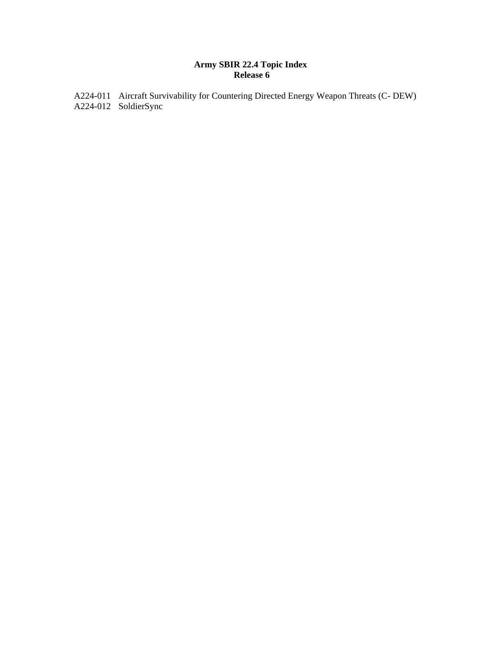# **Army SBIR 22.4 Topic Index Release 6**

A224-011 Aircraft Survivability for Countering Directed Energy Weapon Threats (C- DEW) A224-012 SoldierSync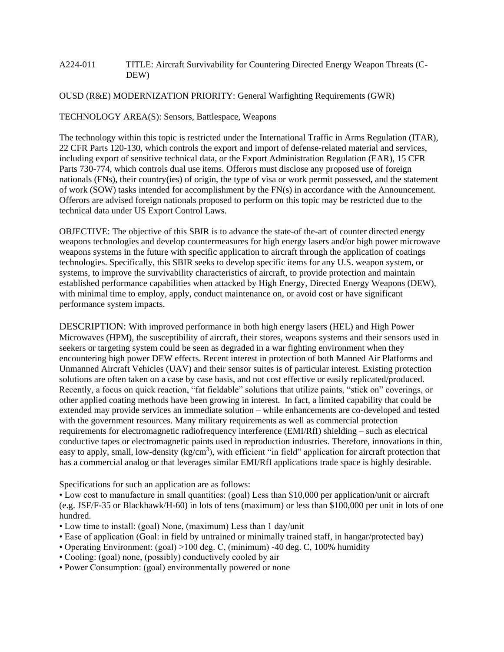#### A224-011 TITLE: Aircraft Survivability for Countering Directed Energy Weapon Threats (C-DEW)

#### OUSD (R&E) MODERNIZATION PRIORITY: General Warfighting Requirements (GWR)

TECHNOLOGY AREA(S): Sensors, Battlespace, Weapons

The technology within this topic is restricted under the International Traffic in Arms Regulation (ITAR), 22 CFR Parts 120-130, which controls the export and import of defense-related material and services, including export of sensitive technical data, or the Export Administration Regulation (EAR), 15 CFR Parts 730-774, which controls dual use items. Offerors must disclose any proposed use of foreign nationals (FNs), their country(ies) of origin, the type of visa or work permit possessed, and the statement of work (SOW) tasks intended for accomplishment by the FN(s) in accordance with the Announcement. Offerors are advised foreign nationals proposed to perform on this topic may be restricted due to the technical data under US Export Control Laws.

OBJECTIVE: The objective of this SBIR is to advance the state-of the-art of counter directed energy weapons technologies and develop countermeasures for high energy lasers and/or high power microwave weapons systems in the future with specific application to aircraft through the application of coatings technologies. Specifically, this SBIR seeks to develop specific items for any U.S. weapon system, or systems, to improve the survivability characteristics of aircraft, to provide protection and maintain established performance capabilities when attacked by High Energy, Directed Energy Weapons (DEW), with minimal time to employ, apply, conduct maintenance on, or avoid cost or have significant performance system impacts.

DESCRIPTION: With improved performance in both high energy lasers (HEL) and High Power Microwaves (HPM), the susceptibility of aircraft, their stores, weapons systems and their sensors used in seekers or targeting system could be seen as degraded in a war fighting environment when they encountering high power DEW effects. Recent interest in protection of both Manned Air Platforms and Unmanned Aircraft Vehicles (UAV) and their sensor suites is of particular interest. Existing protection solutions are often taken on a case by case basis, and not cost effective or easily replicated/produced. Recently, a focus on quick reaction, "fat fieldable" solutions that utilize paints, "stick on" coverings, or other applied coating methods have been growing in interest. In fact, a limited capability that could be extended may provide services an immediate solution – while enhancements are co-developed and tested with the government resources. Many military requirements as well as commercial protection requirements for electromagnetic radiofrequency interference (EMI/RfI) shielding – such as electrical conductive tapes or electromagnetic paints used in reproduction industries. Therefore, innovations in thin, easy to apply, small, low-density (kg/cm<sup>3</sup>), with efficient "in field" application for aircraft protection that has a commercial analog or that leverages similar EMI/RfI applications trade space is highly desirable.

Specifications for such an application are as follows:

• Low cost to manufacture in small quantities: (goal) Less than \$10,000 per application/unit or aircraft (e.g. JSF/F-35 or Blackhawk/H-60) in lots of tens (maximum) or less than \$100,000 per unit in lots of one hundred.

- Low time to install: (goal) None, (maximum) Less than 1 day/unit
- Ease of application (Goal: in field by untrained or minimally trained staff, in hangar/protected bay)
- Operating Environment: (goal) >100 deg. C, (minimum) -40 deg. C, 100% humidity
- Cooling: (goal) none, (possibly) conductively cooled by air
- Power Consumption: (goal) environmentally powered or none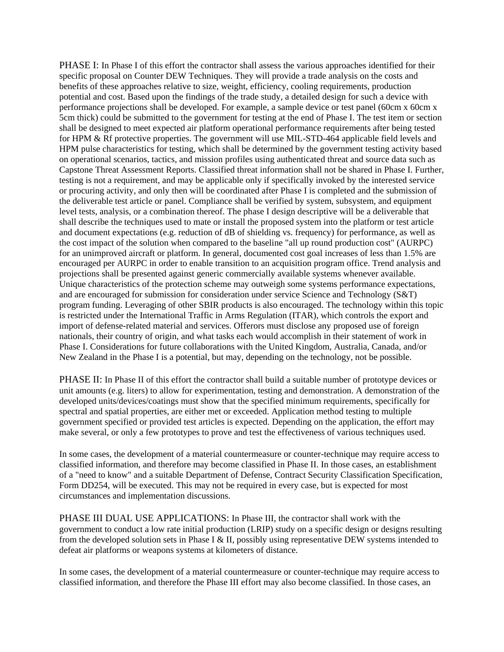PHASE I: In Phase I of this effort the contractor shall assess the various approaches identified for their specific proposal on Counter DEW Techniques. They will provide a trade analysis on the costs and benefits of these approaches relative to size, weight, efficiency, cooling requirements, production potential and cost. Based upon the findings of the trade study, a detailed design for such a device with performance projections shall be developed. For example, a sample device or test panel (60cm x 60cm x 5cm thick) could be submitted to the government for testing at the end of Phase I. The test item or section shall be designed to meet expected air platform operational performance requirements after being tested for HPM & Rf protective properties. The government will use MIL-STD-464 applicable field levels and HPM pulse characteristics for testing, which shall be determined by the government testing activity based on operational scenarios, tactics, and mission profiles using authenticated threat and source data such as Capstone Threat Assessment Reports. Classified threat information shall not be shared in Phase I. Further, testing is not a requirement, and may be applicable only if specifically invoked by the interested service or procuring activity, and only then will be coordinated after Phase I is completed and the submission of the deliverable test article or panel. Compliance shall be verified by system, subsystem, and equipment level tests, analysis, or a combination thereof. The phase I design descriptive will be a deliverable that shall describe the techniques used to mate or install the proposed system into the platform or test article and document expectations (e.g. reduction of dB of shielding vs. frequency) for performance, as well as the cost impact of the solution when compared to the baseline "all up round production cost" (AURPC) for an unimproved aircraft or platform. In general, documented cost goal increases of less than 1.5% are encouraged per AURPC in order to enable transition to an acquisition program office. Trend analysis and projections shall be presented against generic commercially available systems whenever available. Unique characteristics of the protection scheme may outweigh some systems performance expectations, and are encouraged for submission for consideration under service Science and Technology (S&T) program funding. Leveraging of other SBIR products is also encouraged. The technology within this topic is restricted under the International Traffic in Arms Regulation (ITAR), which controls the export and import of defense-related material and services. Offerors must disclose any proposed use of foreign nationals, their country of origin, and what tasks each would accomplish in their statement of work in Phase I. Considerations for future collaborations with the United Kingdom, Australia, Canada, and/or New Zealand in the Phase I is a potential, but may, depending on the technology, not be possible.

PHASE II: In Phase II of this effort the contractor shall build a suitable number of prototype devices or unit amounts (e.g. liters) to allow for experimentation, testing and demonstration. A demonstration of the developed units/devices/coatings must show that the specified minimum requirements, specifically for spectral and spatial properties, are either met or exceeded. Application method testing to multiple government specified or provided test articles is expected. Depending on the application, the effort may make several, or only a few prototypes to prove and test the effectiveness of various techniques used.

In some cases, the development of a material countermeasure or counter-technique may require access to classified information, and therefore may become classified in Phase II. In those cases, an establishment of a "need to know" and a suitable Department of Defense, Contract Security Classification Specification, Form DD254, will be executed. This may not be required in every case, but is expected for most circumstances and implementation discussions.

PHASE III DUAL USE APPLICATIONS: In Phase III, the contractor shall work with the government to conduct a low rate initial production (LRIP) study on a specific design or designs resulting from the developed solution sets in Phase I & II, possibly using representative DEW systems intended to defeat air platforms or weapons systems at kilometers of distance.

In some cases, the development of a material countermeasure or counter-technique may require access to classified information, and therefore the Phase III effort may also become classified. In those cases, an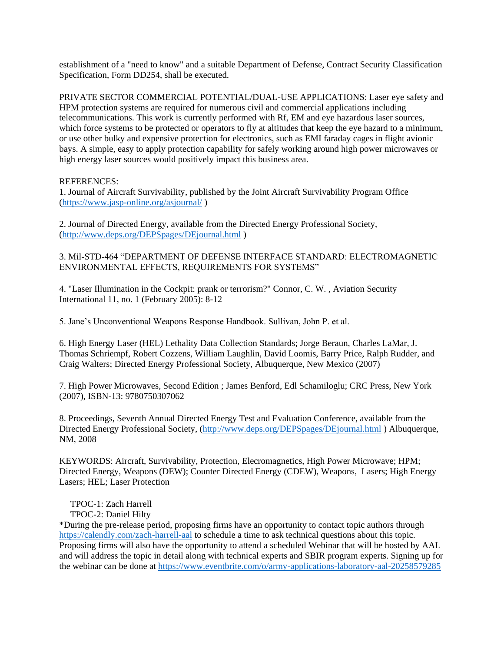establishment of a "need to know" and a suitable Department of Defense, Contract Security Classification Specification, Form DD254, shall be executed.

PRIVATE SECTOR COMMERCIAL POTENTIAL/DUAL-USE APPLICATIONS: Laser eye safety and HPM protection systems are required for numerous civil and commercial applications including telecommunications. This work is currently performed with Rf, EM and eye hazardous laser sources, which force systems to be protected or operators to fly at altitudes that keep the eye hazard to a minimum, or use other bulky and expensive protection for electronics, such as EMI faraday cages in flight avionic bays. A simple, easy to apply protection capability for safely working around high power microwaves or high energy laser sources would positively impact this business area.

## REFERENCES:

1. Journal of Aircraft Survivability, published by the Joint Aircraft Survivability Program Office [\(https://www.jasp-online.org/asjournal/](https://www.jasp-online.org/asjournal/) )

2. Journal of Directed Energy, available from the Directed Energy Professional Society, [\(http://www.deps.org/DEPSpages/DEjournal.html](http://www.deps.org/DEPSpages/DEjournal.html) )

3. Mil-STD-464 "DEPARTMENT OF DEFENSE INTERFACE STANDARD: ELECTROMAGNETIC ENVIRONMENTAL EFFECTS, REQUIREMENTS FOR SYSTEMS"

4. "Laser Illumination in the Cockpit: prank or terrorism?" Connor, C. W. , Aviation Security International 11, no. 1 (February 2005): 8-12

5. Jane's Unconventional Weapons Response Handbook. Sullivan, John P. et al.

6. High Energy Laser (HEL) Lethality Data Collection Standards; Jorge Beraun, Charles LaMar, J. Thomas Schriempf, Robert Cozzens, William Laughlin, David Loomis, Barry Price, Ralph Rudder, and Craig Walters; Directed Energy Professional Society, Albuquerque, New Mexico (2007)

7. High Power Microwaves, Second Edition ; James Benford, Edl Schamiloglu; CRC Press, New York (2007), ISBN-13: 9780750307062

8. Proceedings, Seventh Annual Directed Energy Test and Evaluation Conference, available from the Directed Energy Professional Society, [\(http://www.deps.org/DEPSpages/DEjournal.html](http://www.deps.org/DEPSpages/DEjournal.html) ) Albuquerque, NM, 2008

KEYWORDS: Aircraft, Survivability, Protection, Elecromagnetics, High Power Microwave; HPM; Directed Energy, Weapons (DEW); Counter Directed Energy (CDEW), Weapons, Lasers; High Energy Lasers; HEL; Laser Protection

TPOC-1: Zach Harrell

TPOC-2: Daniel Hilty

\*During the pre-release period, proposing firms have an opportunity to contact topic authors through <https://calendly.com/zach-harrell-aal> to schedule a time to ask technical questions about this topic. Proposing firms will also have the opportunity to attend a scheduled Webinar that will be hosted by AAL and will address the topic in detail along with technical experts and SBIR program experts. Signing up for the webinar can be done at<https://www.eventbrite.com/o/army-applications-laboratory-aal-20258579285>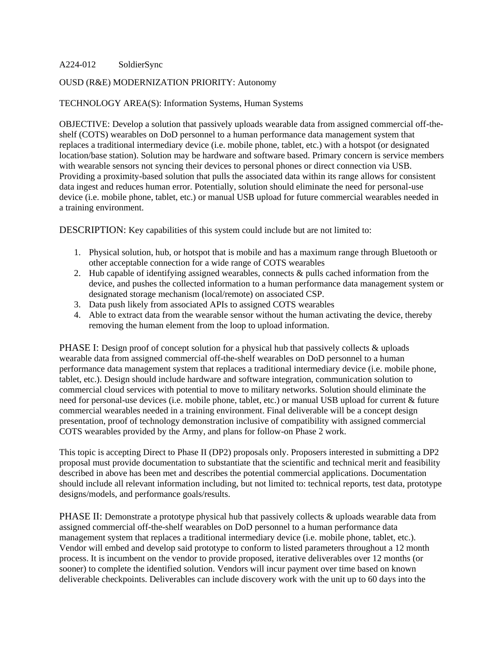#### A224-012 SoldierSync

## OUSD (R&E) MODERNIZATION PRIORITY: Autonomy

#### TECHNOLOGY AREA(S): Information Systems, Human Systems

OBJECTIVE: Develop a solution that passively uploads wearable data from assigned commercial off-theshelf (COTS) wearables on DoD personnel to a human performance data management system that replaces a traditional intermediary device (i.e. mobile phone, tablet, etc.) with a hotspot (or designated location/base station). Solution may be hardware and software based. Primary concern is service members with wearable sensors not syncing their devices to personal phones or direct connection via USB. Providing a proximity-based solution that pulls the associated data within its range allows for consistent data ingest and reduces human error. Potentially, solution should eliminate the need for personal-use device (i.e. mobile phone, tablet, etc.) or manual USB upload for future commercial wearables needed in a training environment.

DESCRIPTION: Key capabilities of this system could include but are not limited to:

- 1. Physical solution, hub, or hotspot that is mobile and has a maximum range through Bluetooth or other acceptable connection for a wide range of COTS wearables
- 2. Hub capable of identifying assigned wearables, connects  $\&$  pulls cached information from the device, and pushes the collected information to a human performance data management system or designated storage mechanism (local/remote) on associated CSP.
- 3. Data push likely from associated APIs to assigned COTS wearables
- 4. Able to extract data from the wearable sensor without the human activating the device, thereby removing the human element from the loop to upload information.

PHASE I: Design proof of concept solution for a physical hub that passively collects & uploads wearable data from assigned commercial off-the-shelf wearables on DoD personnel to a human performance data management system that replaces a traditional intermediary device (i.e. mobile phone, tablet, etc.). Design should include hardware and software integration, communication solution to commercial cloud services with potential to move to military networks. Solution should eliminate the need for personal-use devices (i.e. mobile phone, tablet, etc.) or manual USB upload for current & future commercial wearables needed in a training environment. Final deliverable will be a concept design presentation, proof of technology demonstration inclusive of compatibility with assigned commercial COTS wearables provided by the Army, and plans for follow-on Phase 2 work.

This topic is accepting Direct to Phase II (DP2) proposals only. Proposers interested in submitting a DP2 proposal must provide documentation to substantiate that the scientific and technical merit and feasibility described in above has been met and describes the potential commercial applications. Documentation should include all relevant information including, but not limited to: technical reports, test data, prototype designs/models, and performance goals/results.

PHASE II: Demonstrate a prototype physical hub that passively collects & uploads wearable data from assigned commercial off-the-shelf wearables on DoD personnel to a human performance data management system that replaces a traditional intermediary device (i.e. mobile phone, tablet, etc.). Vendor will embed and develop said prototype to conform to listed parameters throughout a 12 month process. It is incumbent on the vendor to provide proposed, iterative deliverables over 12 months (or sooner) to complete the identified solution. Vendors will incur payment over time based on known deliverable checkpoints. Deliverables can include discovery work with the unit up to 60 days into the